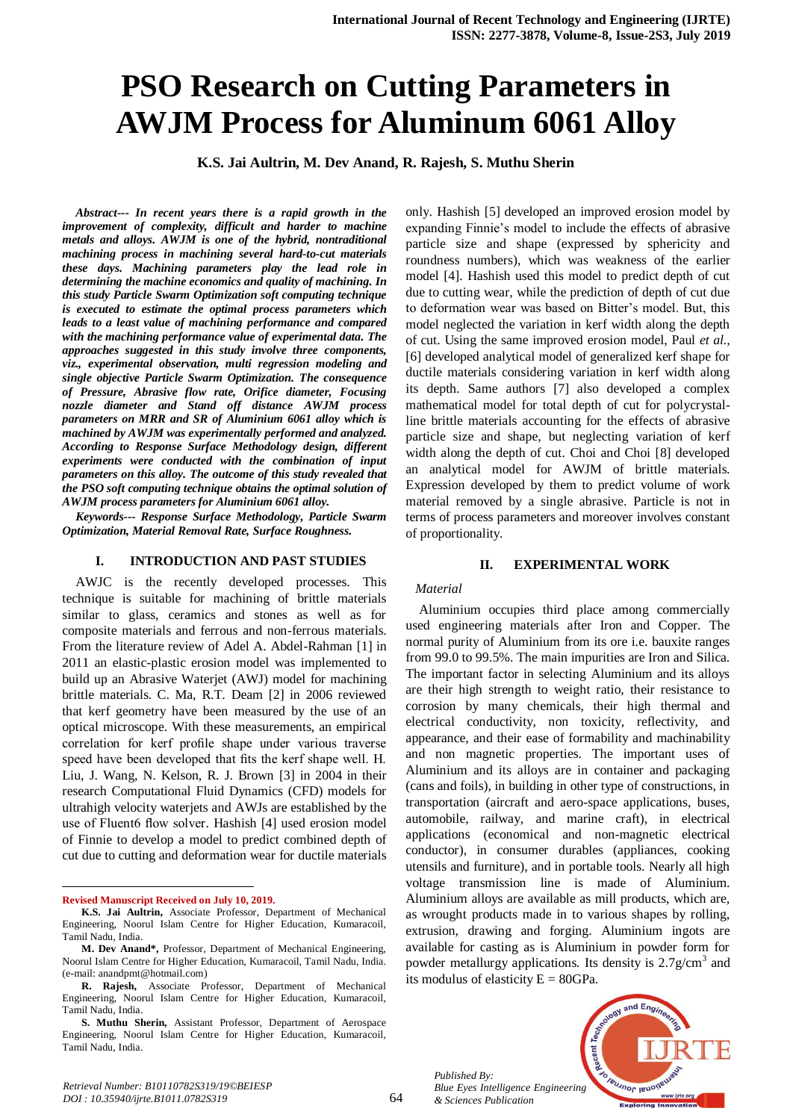# **PSO Research on Cutting Parameters in AWJM Process for Aluminum 6061 Alloy**

**K.S. Jai Aultrin, M. Dev Anand, R. Rajesh, S. Muthu Sherin**

*Abstract--- In recent years there is a rapid growth in the improvement of complexity, difficult and harder to machine metals and alloys. AWJM is one of the hybrid, nontraditional machining process in machining several hard-to-cut materials these days. Machining parameters play the lead role in determining the machine economics and quality of machining. In this study Particle Swarm Optimization soft computing technique is executed to estimate the optimal process parameters which leads to a least value of machining performance and compared with the machining performance value of experimental data. The approaches suggested in this study involve three components, viz., experimental observation, multi regression modeling and single objective Particle Swarm Optimization. The consequence of Pressure, Abrasive flow rate, Orifice diameter, Focusing nozzle diameter and Stand off distance AWJM process parameters on MRR and SR of Aluminium 6061 alloy which is machined by AWJM was experimentally performed and analyzed. According to Response Surface Methodology design, different experiments were conducted with the combination of input parameters on this alloy. The outcome of this study revealed that the PSO soft computing technique obtains the optimal solution of AWJM process parameters for Aluminium 6061 alloy.*

*Keywords--- Response Surface Methodology, Particle Swarm Optimization, Material Removal Rate, Surface Roughness.*

### **I. INTRODUCTION AND PAST STUDIES**

AWJC is the recently developed processes. This technique is suitable for machining of brittle materials similar to glass, ceramics and stones as well as for composite materials and ferrous and non-ferrous materials. From the literature review of Adel A. Abdel-Rahman [1] in 2011 an elastic-plastic erosion model was implemented to build up an Abrasive Waterjet (AWJ) model for machining brittle materials. C. Ma, R.T. Deam [2] in 2006 reviewed that kerf geometry have been measured by the use of an optical microscope. With these measurements, an empirical correlation for kerf profile shape under various traverse speed have been developed that fits the kerf shape well. H. Liu, J. Wang, N. Kelson, R. J. Brown [3] in 2004 in their research Computational Fluid Dynamics (CFD) models for ultrahigh velocity waterjets and AWJs are established by the use of Fluent6 flow solver. Hashish [4] used erosion model of Finnie to develop a model to predict combined depth of cut due to cutting and deformation wear for ductile materials

**Revised Manuscript Received on July 10, 2019.**

1

only. Hashish [5] developed an improved erosion model by expanding Finnie's model to include the effects of abrasive particle size and shape (expressed by sphericity and roundness numbers), which was weakness of the earlier model [4]. Hashish used this model to predict depth of cut due to cutting wear, while the prediction of depth of cut due to deformation wear was based on Bitter's model. But, this model neglected the variation in kerf width along the depth of cut. Using the same improved erosion model, Paul *et al.,* [6] developed analytical model of generalized kerf shape for ductile materials considering variation in kerf width along its depth. Same authors [7] also developed a complex mathematical model for total depth of cut for polycrystalline brittle materials accounting for the effects of abrasive particle size and shape, but neglecting variation of kerf width along the depth of cut. Choi and Choi [8] developed an analytical model for AWJM of brittle materials. Expression developed by them to predict volume of work material removed by a single abrasive. Particle is not in terms of process parameters and moreover involves constant of proportionality.

#### **II. EXPERIMENTAL WORK**

#### *Material*

Aluminium occupies third place among commercially used engineering materials after Iron and Copper. The normal purity of Aluminium from its ore i.e. bauxite ranges from 99.0 to 99.5%. The main impurities are Iron and Silica. The important factor in selecting Aluminium and its alloys are their high strength to weight ratio, their resistance to corrosion by many chemicals, their high thermal and electrical conductivity, non toxicity, reflectivity, and appearance, and their ease of formability and machinability and non magnetic properties. The important uses of Aluminium and its alloys are in container and packaging (cans and foils), in building in other type of constructions, in transportation (aircraft and aero-space applications, buses, automobile, railway, and marine craft), in electrical applications (economical and non-magnetic electrical conductor), in consumer durables (appliances, cooking utensils and furniture), and in portable tools. Nearly all high voltage transmission line is made of Aluminium. Aluminium alloys are available as mill products, which are, as wrought products made in to various shapes by rolling, extrusion, drawing and forging. Aluminium ingots are available for casting as is Aluminium in powder form for powder metallurgy applications. Its density is  $2.7$  g/cm<sup>3</sup> and its modulus of elasticity  $E = 80GPa$ .

*Published By: Blue Eyes Intelligence Engineering & Sciences Publication* 



**K.S. Jai Aultrin,** Associate Professor, Department of Mechanical Engineering, Noorul Islam Centre for Higher Education, Kumaracoil, Tamil Nadu, India.

**M. Dev Anand\*,** Professor, Department of Mechanical Engineering, Noorul Islam Centre for Higher Education, Kumaracoil, Tamil Nadu, India. (e-mail: [anandpmt@hotmail.com\)](mailto:anandpmt@hotmail.com)

**R. Rajesh,** Associate Professor, Department of Mechanical Engineering, Noorul Islam Centre for Higher Education, Kumaracoil, Tamil Nadu, India.

**S. Muthu Sherin,** Assistant Professor, Department of Aerospace Engineering, Noorul Islam Centre for Higher Education, Kumaracoil, Tamil Nadu, India.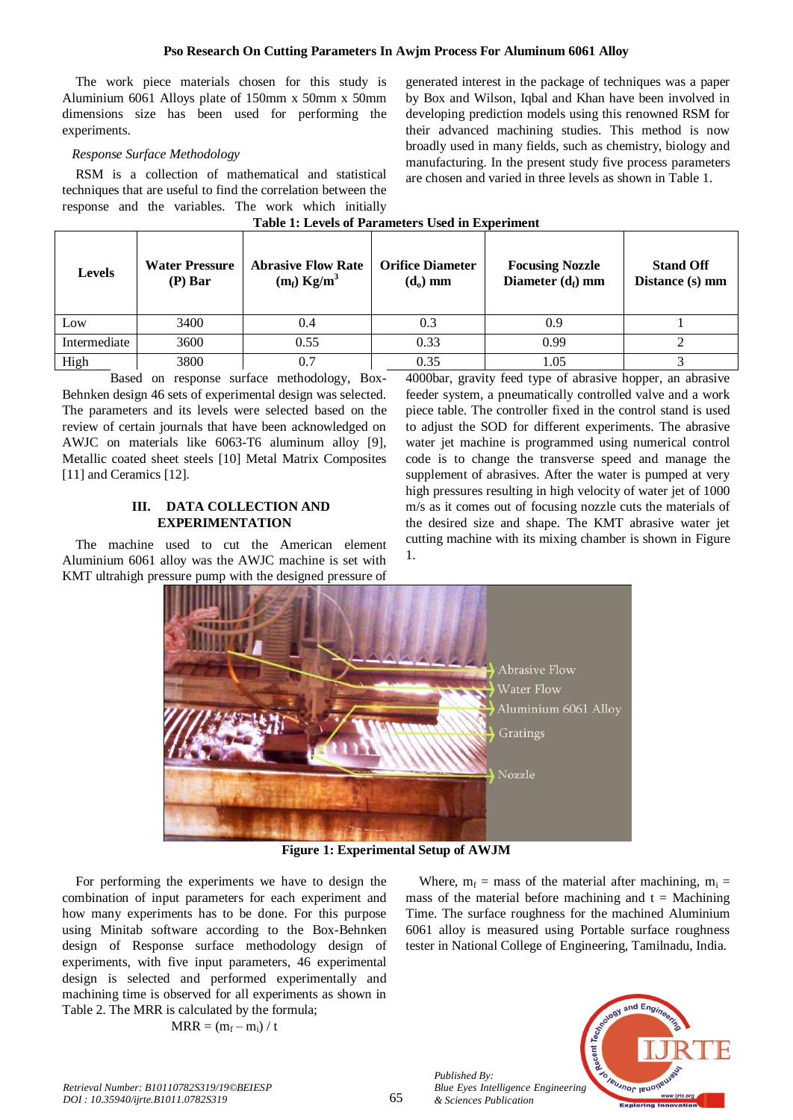## **Pso Research On Cutting Parameters In Awjm Process For Aluminum 6061 Alloy**

The work piece materials chosen for this study is Aluminium 6061 Alloys plate of 150mm x 50mm x 50mm dimensions size has been used for performing the experiments.

## *Response Surface Methodology*

RSM is a collection of mathematical and statistical techniques that are useful to find the correlation between the response and the variables. The work which initially

generated interest in the package of techniques was a paper by Box and Wilson, Iqbal and Khan have been involved in developing prediction models using this renowned RSM for their advanced machining studies. This method is now broadly used in many fields, such as chemistry, biology and manufacturing. In the present study five process parameters are chosen and varied in three levels as shown in Table 1.

| <b>Levels</b> | <b>Water Pressure</b><br>$(P)$ Bar | <b>Abrasive Flow Rate</b><br>$(m_f)$ Kg/m <sup>3</sup> | <b>Orifice Diameter</b><br>$(d_0)$ mm | <b>Focusing Nozzle</b><br>Diameter $(d_f)$ mm | <b>Stand Off</b><br>Distance (s) mm |  |  |  |  |
|---------------|------------------------------------|--------------------------------------------------------|---------------------------------------|-----------------------------------------------|-------------------------------------|--|--|--|--|
| Low           | 3400                               | (0.4)                                                  | 0.3                                   | 0.9                                           |                                     |  |  |  |  |
| Intermediate  | 3600                               | 0.55                                                   | 0.33                                  | 0.99                                          |                                     |  |  |  |  |
| High          | 3800                               |                                                        | 0.35                                  | 1.05                                          |                                     |  |  |  |  |

**Table 1: Levels of Parameters Used in Experiment**

Based on response surface methodology, Box-Behnken design 46 sets of experimental design was selected. The parameters and its levels were selected based on the review of certain journals that have been acknowledged on AWJC on materials like 6063-T6 aluminum alloy [9], Metallic coated sheet steels [10] Metal Matrix Composites [11] and Ceramics [12].

## **III. DATA COLLECTION AND EXPERIMENTATION**

The machine used to cut the American element Aluminium 6061 alloy was the AWJC machine is set with KMT ultrahigh pressure pump with the designed pressure of 4000bar, gravity feed type of abrasive hopper, an abrasive feeder system, a pneumatically controlled valve and a work piece table. The controller fixed in the control stand is used to adjust the SOD for different experiments. The abrasive water jet machine is programmed using numerical control code is to change the transverse speed and manage the supplement of abrasives. After the water is pumped at very high pressures resulting in high velocity of water jet of 1000 m/s as it comes out of focusing nozzle cuts the materials of the desired size and shape. The KMT abrasive water jet cutting machine with its mixing chamber is shown in Figure 1.



**Figure 1: Experimental Setup of AWJM** 

For performing the experiments we have to design the combination of input parameters for each experiment and how many experiments has to be done. For this purpose using Minitab software according to the Box-Behnken design of Response surface methodology design of experiments, with five input parameters, 46 experimental design is selected and performed experimentally and machining time is observed for all experiments as shown in Table 2. The MRR is calculated by the formula;

$$
MRR = (m_f - m_i) / t
$$

Where,  $m_f$  = mass of the material after machining,  $m_i$  = mass of the material before machining and  $t =$  Machining Time. The surface roughness for the machined Aluminium 6061 alloy is measured using Portable surface roughness tester in National College of Engineering, Tamilnadu, India.



*Published By:*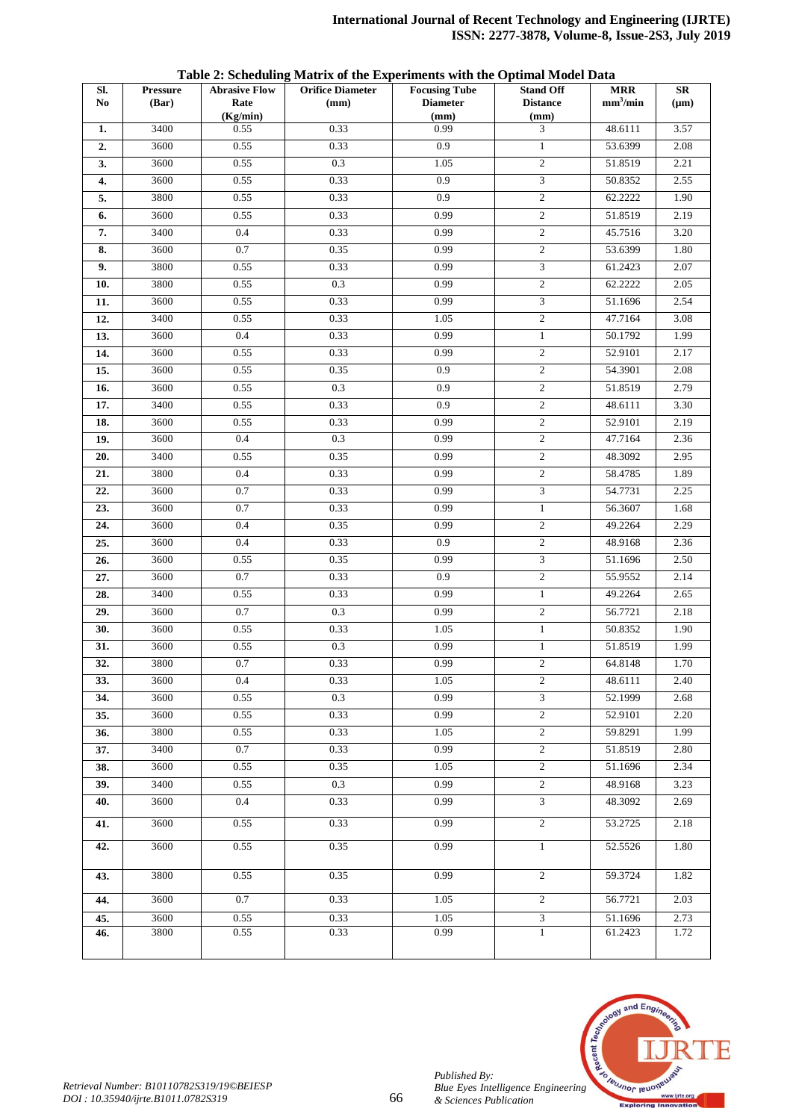| Sl.<br>N <sub>0</sub> | <b>Pressure</b><br>(Bar) | <b>Abrasive Flow</b><br>Rate | <b>Orifice Diameter</b><br>(mm) | <b>Focusing Tube</b><br><b>Diameter</b> | <b>Stand Off</b><br><b>Distance</b> | <b>MRR</b><br>mm <sup>3</sup> /min | SR<br>$(\mu m)$ |
|-----------------------|--------------------------|------------------------------|---------------------------------|-----------------------------------------|-------------------------------------|------------------------------------|-----------------|
|                       |                          | (Kg/min)                     |                                 | (mm)                                    | (mm)                                |                                    |                 |
| 1.                    | 3400                     | 0.55                         | 0.33                            | 0.99                                    | 3                                   | 48.6111                            | 3.57            |
| 2.                    | 3600                     | 0.55                         | 0.33                            | 0.9                                     | $\mathbf{1}$                        | 53.6399                            | 2.08            |
| 3.                    | 3600                     | 0.55                         | 0.3                             | 1.05                                    | $\overline{c}$                      | 51.8519                            | 2.21            |
| 4.                    | 3600                     | 0.55                         | 0.33                            | 0.9                                     | $\overline{3}$                      | 50.8352                            | 2.55            |
| 5.                    | 3800                     | 0.55                         | 0.33                            | 0.9                                     | $\overline{2}$                      | 62.2222                            | 1.90            |
| 6.                    | 3600                     | 0.55                         | 0.33                            | 0.99                                    | $\sqrt{2}$                          | 51.8519                            | 2.19            |
| 7.                    | 3400                     | 0.4                          | 0.33                            | 0.99                                    | $\overline{c}$                      | 45.7516                            | 3.20            |
| 8.                    | 3600                     | 0.7                          | 0.35                            | 0.99                                    | $\overline{c}$                      | 53.6399                            | 1.80            |
| 9.                    | 3800                     | 0.55                         | 0.33                            | 0.99                                    | 3                                   | 61.2423                            | 2.07            |
| 10.                   | 3800                     | 0.55                         | 0.3                             | 0.99                                    | $\overline{2}$                      | 62.2222                            | 2.05            |
| 11.                   | 3600                     | 0.55                         | 0.33                            | 0.99                                    | 3                                   | 51.1696                            | 2.54            |
| 12.                   | 3400                     | 0.55                         | 0.33                            | 1.05                                    | $\overline{c}$                      | 47.7164                            | 3.08            |
| 13.                   | 3600                     | 0.4                          | 0.33                            | 0.99                                    | $\mathbf{1}$                        | 50.1792                            | 1.99            |
| 14.                   | 3600                     | 0.55                         | 0.33                            | 0.99                                    | $\mathfrak{2}$                      | 52.9101                            | 2.17            |
| 15.                   | 3600                     | 0.55                         | 0.35                            | 0.9                                     | $\overline{c}$                      | 54.3901                            | 2.08            |
| 16.                   | 3600                     | 0.55                         | 0.3                             | 0.9                                     | $\overline{2}$                      | 51.8519                            | 2.79            |
| 17.                   | 3400                     | 0.55                         | 0.33                            | 0.9                                     | $\overline{c}$                      | 48.6111                            | 3.30            |
| 18.                   | 3600                     | 0.55                         | 0.33                            | 0.99                                    | $\overline{c}$                      | 52.9101                            | 2.19            |
| 19.                   | 3600                     | $0.4\,$                      | 0.3                             | 0.99                                    | $\sqrt{2}$                          | 47.7164                            | 2.36            |
| 20.                   | 3400                     | 0.55                         | 0.35                            | 0.99                                    | $\overline{2}$                      | 48.3092                            | 2.95            |
| 21.                   | 3800                     | 0.4                          | 0.33                            | 0.99                                    | $\overline{c}$                      | 58.4785                            | 1.89            |
| 22.                   | 3600                     | 0.7                          | 0.33                            | 0.99                                    | 3                                   | 54.7731                            | 2.25            |
| 23.                   | 3600                     | 0.7                          | 0.33                            | 0.99                                    | $\mathbf{1}$                        | 56.3607                            | 1.68            |
| 24.                   | 3600                     | 0.4                          | 0.35                            | 0.99                                    | $\overline{2}$                      | 49.2264                            | 2.29            |
| 25.                   | 3600                     | 0.4                          | 0.33                            | 0.9                                     | $\sqrt{2}$                          | 48.9168                            | 2.36            |
| 26.                   | 3600                     | 0.55                         | 0.35                            | 0.99                                    | 3                                   | 51.1696                            | 2.50            |
| 27.                   | 3600                     | 0.7                          | 0.33                            | 0.9<br>0.99                             | $\overline{c}$                      | 55.9552                            | 2.14            |
| 28.                   | 3400<br>3600             | 0.55<br>0.7                  | 0.33<br>0.3                     | 0.99                                    | $\mathbf{1}$<br>$\overline{c}$      | 49.2264<br>56.7721                 | 2.65<br>2.18    |
| 29.                   | 3600                     | 0.55                         | 0.33                            | 1.05                                    | $\mathbf{1}$                        | 50.8352                            | 1.90            |
| 30.                   | 3600                     | 0.55                         | 0.3                             | 0.99                                    | $\mathbf{1}$                        | 51.8519                            | 1.99            |
| 31.<br>32.            | 3800                     | 0.7                          | 0.33                            | 0.99                                    | $\overline{c}$                      | 64.8148                            | 1.70            |
| 33.                   | 3600                     | 0.4                          | 0.33                            | 1.05                                    | 2                                   | 48.6111                            | 2.40            |
| 34.                   | 3600                     | 0.55                         | 0.3                             | 0.99                                    | $\overline{3}$                      | 52.1999                            | 2.68            |
| 35.                   | 3600                     | 0.55                         | 0.33                            | 0.99                                    | $\overline{2}$                      | 52.9101                            | 2.20            |
| 36.                   | 3800                     | 0.55                         | 0.33                            | 1.05                                    | $\overline{c}$                      | 59.8291                            | 1.99            |
| 37.                   | 3400                     | 0.7                          | 0.33                            | 0.99                                    | $\overline{2}$                      | 51.8519                            | 2.80            |
| 38.                   | 3600                     | 0.55                         | 0.35                            | 1.05                                    | $\overline{2}$                      | 51.1696                            | 2.34            |
| 39.                   | 3400                     | 0.55                         | 0.3                             | 0.99                                    | $\sqrt{2}$                          | 48.9168                            | 3.23            |
| 40.                   | 3600                     | 0.4                          | 0.33                            | 0.99                                    | $\mathfrak{Z}$                      | 48.3092                            | 2.69            |
|                       |                          |                              |                                 |                                         |                                     |                                    |                 |
| 41.                   | 3600                     | 0.55                         | 0.33                            | 0.99                                    | 2                                   | 53.2725                            | 2.18            |
| 42.                   | 3600                     | 0.55                         | 0.35                            | 0.99                                    | $\mathbf{1}$                        | 52.5526                            | 1.80            |
| 43.                   | 3800                     | 0.55                         | 0.35                            | 0.99                                    | $\overline{c}$                      | 59.3724                            | 1.82            |
| 44.                   | 3600                     | $0.7\,$                      | 0.33                            | 1.05                                    | $\overline{2}$                      | 56.7721                            | 2.03            |
| 45.                   | 3600                     | 0.55                         | 0.33                            | 1.05                                    | $\overline{3}$                      | 51.1696                            | 2.73            |
| 46.                   | 3800                     | 0.55                         | 0.33                            | 0.99                                    | $\mathbf{1}$                        | 61.2423                            | 1.72            |

**Table 2: Scheduling Matrix of the Experiments with the Optimal Model Data**



*Published By:*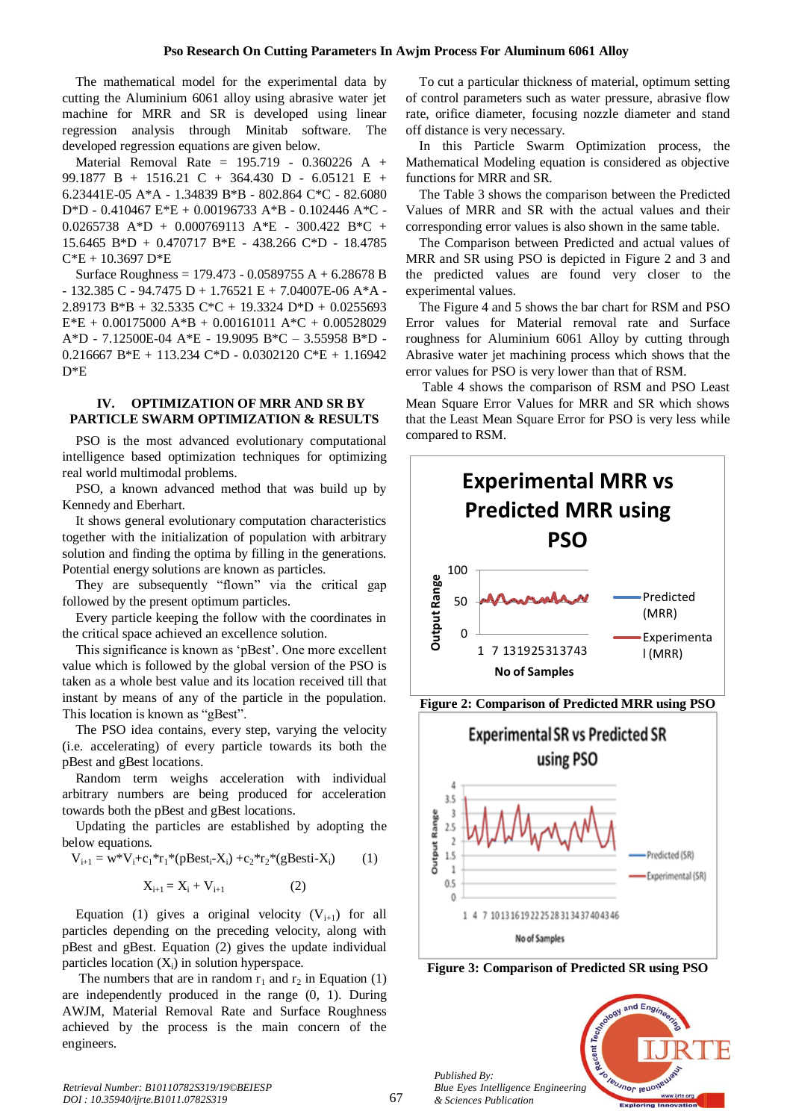The mathematical model for the experimental data by cutting the Aluminium 6061 alloy using abrasive water jet machine for MRR and SR is developed using linear regression analysis through Minitab software. The developed regression equations are given below.

Material Removal Rate = 195.719 - 0.360226 A + 99.1877 B + 1516.21 C + 364.430 D - 6.05121 E + 6.23441E-05 A\*A - 1.34839 B\*B - 802.864 C\*C - 82.6080 D\*D - 0.410467 E\*E + 0.00196733 A\*B - 0.102446 A\*C - 0.0265738 A\*D + 0.000769113 A\*E - 300.422 B\*C + 15.6465 B\*D + 0.470717 B\*E - 438.266 C\*D - 18.4785  $C*E + 10.3697$  D<sup>\*</sup>E

Surface Roughness = 179.473 - 0.0589755 A + 6.28678 B  $- 132.385$  C  $- 94.7475$  D  $+ 1.76521$  E  $+ 7.04007E-06$  A\*A  $-$ 2.89173 B\*B + 32.5335 C\*C + 19.3324 D\*D + 0.0255693  $E^*E + 0.00175000 A^*B + 0.00161011 A^*C + 0.00528029$ A\*D - 7.12500E-04 A\*E - 19.9095 B\*C – 3.55958 B\*D - 0.216667 B\*E + 113.234 C\*D - 0.0302120 C\*E + 1.16942 D\*E

## **IV. OPTIMIZATION OF MRR AND SR BY PARTICLE SWARM OPTIMIZATION & RESULTS**

PSO is the most advanced evolutionary computational intelligence based optimization techniques for optimizing real world multimodal problems.

PSO, a known advanced method that was build up by Kennedy and Eberhart.

It shows general evolutionary computation characteristics together with the initialization of population with arbitrary solution and finding the optima by filling in the generations. Potential energy solutions are known as particles.

They are subsequently "flown" via the critical gap followed by the present optimum particles.

Every particle keeping the follow with the coordinates in the critical space achieved an excellence solution.

This significance is known as 'pBest'. One more excellent value which is followed by the global version of the PSO is taken as a whole best value and its location received till that instant by means of any of the particle in the population. This location is known as "gBest".

The PSO idea contains, every step, varying the velocity (i.e. accelerating) of every particle towards its both the pBest and gBest locations.

Random term weighs acceleration with individual arbitrary numbers are being produced for acceleration towards both the pBest and gBest locations.

Updating the particles are established by adopting the below equations.

$$
V_{i+1} = w^*V_i + c_1^*r_1^*(pBest_i - X_i) + c_2^*r_2^*(gBest_i - X_i)
$$
 (1)

$$
X_{i+1} = X_i + V_{i+1}
$$
 (2)

Equation (1) gives a original velocity  $(V_{i+1})$  for all particles depending on the preceding velocity, along with pBest and gBest. Equation (2) gives the update individual particles location  $(X_i)$  in solution hyperspace.

The numbers that are in random  $r_1$  and  $r_2$  in Equation (1) are independently produced in the range (0, 1). During AWJM, Material Removal Rate and Surface Roughness achieved by the process is the main concern of the engineers.

To cut a particular thickness of material, optimum setting of control parameters such as water pressure, abrasive flow rate, orifice diameter, focusing nozzle diameter and stand off distance is very necessary.

In this Particle Swarm Optimization process, the Mathematical Modeling equation is considered as objective functions for MRR and SR.

The Table 3 shows the comparison between the Predicted Values of MRR and SR with the actual values and their corresponding error values is also shown in the same table.

The Comparison between Predicted and actual values of MRR and SR using PSO is depicted in Figure 2 and 3 and the predicted values are found very closer to the experimental values.

The Figure 4 and 5 shows the bar chart for RSM and PSO Error values for Material removal rate and Surface roughness for Aluminium 6061 Alloy by cutting through Abrasive water jet machining process which shows that the error values for PSO is very lower than that of RSM.

Table 4 shows the comparison of RSM and PSO Least Mean Square Error Values for MRR and SR which shows that the Least Mean Square Error for PSO is very less while compared to RSM.





**Figure 3: Comparison of Predicted SR using PSO**

Recent 7

and Eng

Teumor leuo

*Published By: Blue Eyes Intelligence Engineering & Sciences Publication*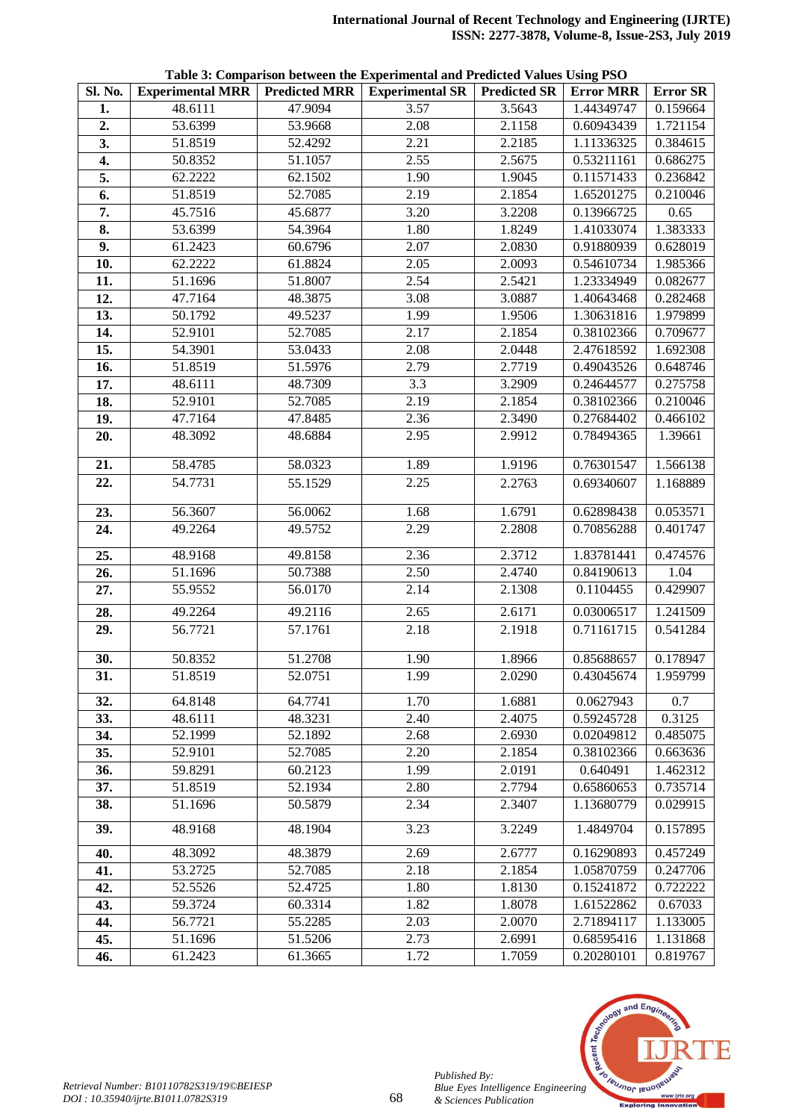|  | Table 3: Comparison between the Experimental and Predicted Values Using PSO |  |
|--|-----------------------------------------------------------------------------|--|
|  |                                                                             |  |

| Sl. No.           | <b>Experimental MRR Predicted MRR</b> |         | Tubic of Comparison between the Experimental and Frederica Tanacs Comp Foo<br><b>Experimental SR   Predicted SR</b> |        | <b>Error MRR</b> | <b>Error SR</b> |
|-------------------|---------------------------------------|---------|---------------------------------------------------------------------------------------------------------------------|--------|------------------|-----------------|
| 1.                | 48.6111                               | 47.9094 | 3.57                                                                                                                | 3.5643 | 1.44349747       | 0.159664        |
|                   | 53.6399                               | 53.9668 | 2.08                                                                                                                | 2.1158 | 0.60943439       | 1.721154        |
| 2.                |                                       |         |                                                                                                                     |        |                  |                 |
| 3.                | 51.8519                               | 52.4292 | 2.21                                                                                                                | 2.2185 | 1.11336325       | 0.384615        |
| 4.                | 50.8352                               | 51.1057 | 2.55                                                                                                                | 2.5675 | 0.53211161       | 0.686275        |
| 5.                | 62.2222                               | 62.1502 | 1.90                                                                                                                | 1.9045 | 0.11571433       | 0.236842        |
| 6.                | 51.8519                               | 52.7085 | 2.19                                                                                                                | 2.1854 | 1.65201275       | 0.210046        |
| 7.                | 45.7516                               | 45.6877 | 3.20                                                                                                                | 3.2208 | 0.13966725       | 0.65            |
| 8.                | 53.6399                               | 54.3964 | 1.80                                                                                                                | 1.8249 | 1.41033074       | 1.383333        |
| 9.                | 61.2423                               | 60.6796 | 2.07                                                                                                                | 2.0830 | 0.91880939       | 0.628019        |
| $\overline{10}$ . | 62.2222                               | 61.8824 | 2.05                                                                                                                | 2.0093 | 0.54610734       | 1.985366        |
| 11.               | 51.1696                               | 51.8007 | 2.54                                                                                                                | 2.5421 | 1.23334949       | 0.082677        |
| 12.               | 47.7164                               | 48.3875 | 3.08                                                                                                                | 3.0887 | 1.40643468       | 0.282468        |
| 13.               | 50.1792                               | 49.5237 | 1.99                                                                                                                | 1.9506 | 1.30631816       | 1.979899        |
| 14.               | 52.9101                               | 52.7085 | 2.17                                                                                                                | 2.1854 | 0.38102366       | 0.709677        |
| 15.               | 54.3901                               | 53.0433 | $\overline{2.08}$                                                                                                   | 2.0448 | 2.47618592       | 1.692308        |
| 16.               | 51.8519                               | 51.5976 | 2.79                                                                                                                | 2.7719 | 0.49043526       | 0.648746        |
| 17.               | 48.6111                               | 48.7309 | 3.3                                                                                                                 | 3.2909 | 0.24644577       | 0.275758        |
| 18.               | 52.9101                               | 52.7085 | 2.19                                                                                                                | 2.1854 | 0.38102366       | 0.210046        |
| 19.               | 47.7164                               | 47.8485 | 2.36                                                                                                                | 2.3490 | 0.27684402       | 0.466102        |
| 20.               | 48.3092                               | 48.6884 | 2.95                                                                                                                | 2.9912 | 0.78494365       | 1.39661         |
|                   |                                       |         |                                                                                                                     |        |                  |                 |
| 21.               | 58.4785                               | 58.0323 | 1.89                                                                                                                | 1.9196 | 0.76301547       | 1.566138        |
| 22.               | 54.7731                               | 55.1529 | 2.25                                                                                                                | 2.2763 | 0.69340607       | 1.168889        |
| 23.               | 56.3607                               | 56.0062 | 1.68                                                                                                                | 1.6791 | 0.62898438       | 0.053571        |
| 24.               | 49.2264                               | 49.5752 | 2.29                                                                                                                | 2.2808 | 0.70856288       | 0.401747        |
|                   |                                       |         |                                                                                                                     |        |                  |                 |
| 25.               | 48.9168                               | 49.8158 | 2.36                                                                                                                | 2.3712 | 1.83781441       | 0.474576        |
| 26.               | 51.1696                               | 50.7388 | 2.50                                                                                                                | 2.4740 | 0.84190613       | 1.04            |
| 27.               | 55.9552                               | 56.0170 | 2.14                                                                                                                | 2.1308 | 0.1104455        | 0.429907        |
| 28.               | 49.2264                               | 49.2116 | 2.65                                                                                                                | 2.6171 | 0.03006517       | 1.241509        |
| 29.               | 56.7721                               | 57.1761 | 2.18                                                                                                                | 2.1918 | 0.71161715       | 0.541284        |
|                   |                                       |         |                                                                                                                     |        |                  |                 |
| 30.               | 50.8352                               | 51.2708 | 1.90                                                                                                                | 1.8966 | 0.85688657       | 0.178947        |
| $\overline{31}$ . | 51.8519                               | 52.0751 | 1.99                                                                                                                | 2.0290 | 0.43045674       | 1.959799        |
| 32.               | 64.8148                               | 64.7741 | 1.70                                                                                                                | 1.6881 | 0.0627943        | 0.7             |
| 33.               | 48.6111                               | 48.3231 | 2.40                                                                                                                | 2.4075 | 0.59245728       | 0.3125          |
| 34.               | 52.1999                               | 52.1892 | 2.68                                                                                                                | 2.6930 | 0.02049812       | 0.485075        |
| 35.               | 52.9101                               | 52.7085 | 2.20                                                                                                                | 2.1854 | 0.38102366       | 0.663636        |
| 36.               | 59.8291                               | 60.2123 | 1.99                                                                                                                | 2.0191 | 0.640491         | 1.462312        |
| 37.               | 51.8519                               | 52.1934 | 2.80                                                                                                                | 2.7794 | 0.65860653       | 0.735714        |
| 38.               | 51.1696                               | 50.5879 | 2.34                                                                                                                | 2.3407 | 1.13680779       | 0.029915        |
|                   |                                       |         |                                                                                                                     |        |                  |                 |
| 39.               | 48.9168                               | 48.1904 | 3.23                                                                                                                | 3.2249 | 1.4849704        | 0.157895        |
| 40.               | 48.3092                               | 48.3879 | 2.69                                                                                                                | 2.6777 | 0.16290893       | 0.457249        |
| 41.               | 53.2725                               | 52.7085 | 2.18                                                                                                                | 2.1854 | 1.05870759       | 0.247706        |
| 42.               | 52.5526                               | 52.4725 | 1.80                                                                                                                | 1.8130 | 0.15241872       | 0.722222        |
| 43.               | 59.3724                               | 60.3314 | 1.82                                                                                                                | 1.8078 | 1.61522862       | 0.67033         |
| 44.               | 56.7721                               | 55.2285 | 2.03                                                                                                                | 2.0070 | 2.71894117       | 1.133005        |
| 45.               | 51.1696                               | 51.5206 | 2.73                                                                                                                | 2.6991 | 0.68595416       | 1.131868        |
| 46.               | 61.2423                               | 61.3665 | 1.72                                                                                                                | 1.7059 | 0.20280101       | 0.819767        |



*Published By:*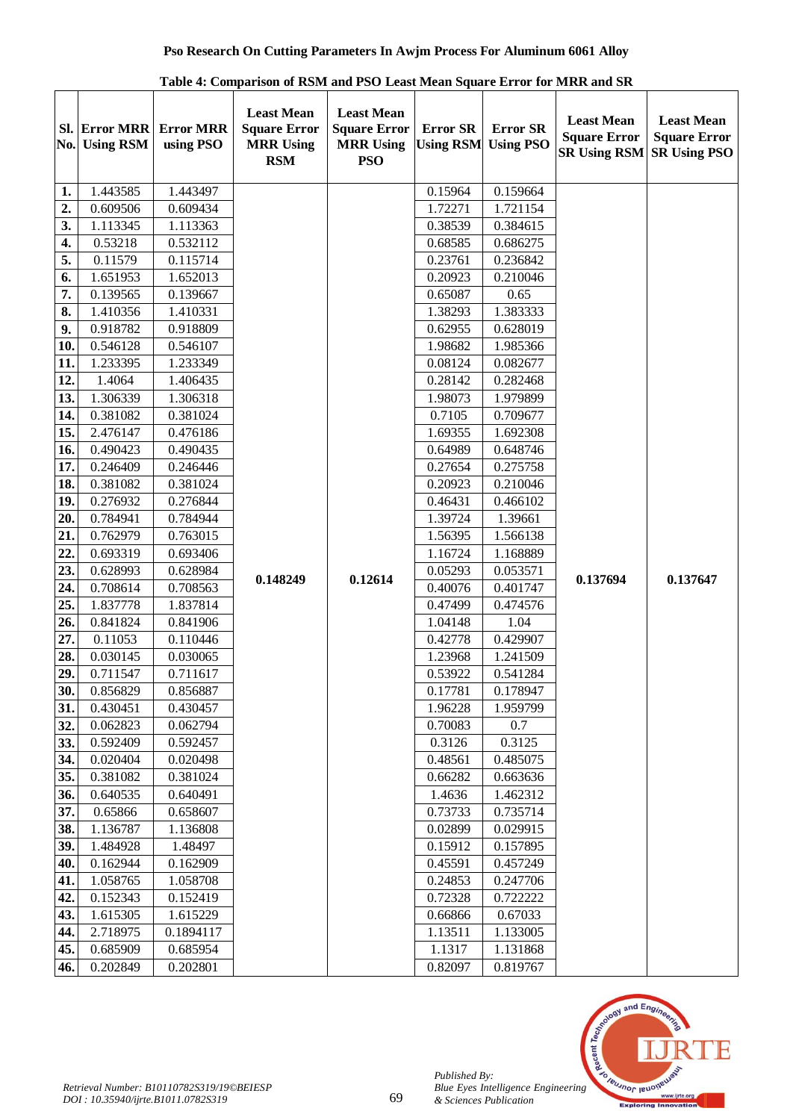|                   |                                |                               | Table 4. Comparison of Kont and FoO Least mean oquare Error for mikk and oik |                                                                            |                                     |                                     |                                                                 |                                                                 |
|-------------------|--------------------------------|-------------------------------|------------------------------------------------------------------------------|----------------------------------------------------------------------------|-------------------------------------|-------------------------------------|-----------------------------------------------------------------|-----------------------------------------------------------------|
|                   | Sl. Error MRR<br>No. Using RSM | <b>Error MRR</b><br>using PSO | <b>Least Mean</b><br><b>Square Error</b><br><b>MRR Using</b><br><b>RSM</b>   | <b>Least Mean</b><br><b>Square Error</b><br><b>MRR Using</b><br><b>PSO</b> | <b>Error SR</b><br><b>Using RSM</b> | <b>Error SR</b><br><b>Using PSO</b> | <b>Least Mean</b><br><b>Square Error</b><br><b>SR Using RSM</b> | <b>Least Mean</b><br><b>Square Error</b><br><b>SR Using PSO</b> |
| 1.                | 1.443585                       | 1.443497                      |                                                                              |                                                                            | 0.15964                             | 0.159664                            |                                                                 |                                                                 |
| 2.                | 0.609506                       | 0.609434                      |                                                                              |                                                                            | 1.72271                             | 1.721154                            |                                                                 |                                                                 |
| 3.                | 1.113345                       | 1.113363                      |                                                                              |                                                                            | 0.38539                             | 0.384615                            |                                                                 |                                                                 |
| 4.                | 0.53218                        | 0.532112                      |                                                                              |                                                                            | 0.68585                             | 0.686275                            |                                                                 |                                                                 |
| 5.                | 0.11579                        | 0.115714                      |                                                                              |                                                                            | 0.23761                             | 0.236842                            |                                                                 |                                                                 |
| 6.                | 1.651953                       | 1.652013                      |                                                                              |                                                                            | 0.20923                             | 0.210046                            |                                                                 |                                                                 |
| 7.                | 0.139565                       | 0.139667                      |                                                                              |                                                                            | 0.65087                             | 0.65                                |                                                                 |                                                                 |
| 8.                | 1.410356                       | 1.410331                      |                                                                              |                                                                            | 1.38293                             | 1.383333                            |                                                                 |                                                                 |
| 9.                | 0.918782                       | 0.918809                      |                                                                              |                                                                            | 0.62955                             | 0.628019                            |                                                                 |                                                                 |
| 10.               | 0.546128                       | 0.546107                      |                                                                              |                                                                            | 1.98682                             | 1.985366                            |                                                                 |                                                                 |
| 11.               | 1.233395                       | 1.233349                      |                                                                              |                                                                            | 0.08124                             | 0.082677                            |                                                                 |                                                                 |
| 12.               | 1.4064                         | 1.406435                      |                                                                              |                                                                            | 0.28142                             | 0.282468                            |                                                                 |                                                                 |
| 13.               | 1.306339                       | 1.306318                      |                                                                              |                                                                            | 1.98073                             | 1.979899                            |                                                                 |                                                                 |
| 14.               | 0.381082                       | 0.381024                      |                                                                              |                                                                            | 0.7105                              | 0.709677                            |                                                                 |                                                                 |
| 15.               | 2.476147                       | 0.476186                      |                                                                              |                                                                            | 1.69355                             | 1.692308                            |                                                                 |                                                                 |
| 16.               | 0.490423                       | 0.490435                      |                                                                              |                                                                            | 0.64989                             | 0.648746                            |                                                                 |                                                                 |
| 17.               | 0.246409                       | 0.246446                      |                                                                              |                                                                            | 0.27654                             | 0.275758                            |                                                                 |                                                                 |
| 18.               | 0.381082                       | 0.381024                      |                                                                              |                                                                            | 0.20923                             | 0.210046                            |                                                                 |                                                                 |
| 19.               | 0.276932                       | 0.276844                      |                                                                              |                                                                            | 0.46431                             | 0.466102                            |                                                                 |                                                                 |
| 20.               | 0.784941                       | 0.784944                      |                                                                              |                                                                            | 1.39724                             | 1.39661                             |                                                                 |                                                                 |
| $\overline{21}$ . | 0.762979                       | 0.763015                      |                                                                              |                                                                            | 1.56395                             | 1.566138                            |                                                                 |                                                                 |
| 22.               | 0.693319                       | 0.693406                      |                                                                              |                                                                            | 1.16724                             | 1.168889                            |                                                                 |                                                                 |
| 23.               | 0.628993                       | 0.628984                      |                                                                              |                                                                            | 0.05293                             | 0.053571                            |                                                                 |                                                                 |
| $\overline{24}$ . | 0.708614                       | 0.708563                      | 0.148249                                                                     | 0.12614                                                                    | 0.40076                             | 0.401747                            | 0.137694                                                        | 0.137647                                                        |
| 25.               | 1.837778                       | 1.837814                      |                                                                              |                                                                            | 0.47499                             | 0.474576                            |                                                                 |                                                                 |
| 26.               | 0.841824                       | 0.841906                      |                                                                              |                                                                            | 1.04148                             | 1.04                                |                                                                 |                                                                 |
| 27.               | 0.11053                        | 0.110446                      |                                                                              |                                                                            | 0.42778                             | 0.429907                            |                                                                 |                                                                 |
| 28.               | 0.030145                       | 0.030065                      |                                                                              |                                                                            | 1.23968                             | 1.241509                            |                                                                 |                                                                 |
| 29.               | 0.711547                       | 0.711617                      |                                                                              |                                                                            | 0.53922                             | 0.541284                            |                                                                 |                                                                 |
| 30.               | 0.856829                       | 0.856887                      |                                                                              |                                                                            | 0.17781                             | 0.178947                            |                                                                 |                                                                 |
| 31.               | 0.430451                       | 0.430457                      |                                                                              |                                                                            | 1.96228                             | 1.959799                            |                                                                 |                                                                 |
| 32.               | 0.062823                       | 0.062794                      |                                                                              |                                                                            | 0.70083                             | 0.7                                 |                                                                 |                                                                 |
| 33.               | 0.592409                       | 0.592457                      |                                                                              |                                                                            | 0.3126                              | 0.3125                              |                                                                 |                                                                 |
| 34.               | 0.020404                       | 0.020498                      |                                                                              |                                                                            | 0.48561                             | 0.485075                            |                                                                 |                                                                 |
| 35.               | 0.381082                       | 0.381024                      |                                                                              |                                                                            | 0.66282                             | 0.663636                            |                                                                 |                                                                 |
| 36.               | 0.640535                       | 0.640491                      |                                                                              |                                                                            | 1.4636                              | 1.462312                            |                                                                 |                                                                 |
| 37.               | 0.65866                        | 0.658607                      |                                                                              |                                                                            | 0.73733                             | 0.735714                            |                                                                 |                                                                 |
| 38.               | 1.136787                       | 1.136808                      |                                                                              |                                                                            | 0.02899                             | 0.029915                            |                                                                 |                                                                 |
| 39.               | 1.484928                       | 1.48497                       |                                                                              |                                                                            | 0.15912                             | 0.157895                            |                                                                 |                                                                 |
| 40.               | 0.162944                       | 0.162909                      |                                                                              |                                                                            | 0.45591                             | 0.457249                            |                                                                 |                                                                 |
| 41.               | 1.058765                       | 1.058708                      |                                                                              |                                                                            | 0.24853                             | 0.247706                            |                                                                 |                                                                 |
| 42.               | 0.152343                       | 0.152419                      |                                                                              |                                                                            | 0.72328                             | 0.722222                            |                                                                 |                                                                 |
| 43.               | 1.615305                       | 1.615229                      |                                                                              |                                                                            | 0.66866                             | 0.67033                             |                                                                 |                                                                 |
| 44.               | 2.718975                       | 0.1894117                     |                                                                              |                                                                            | 1.13511                             | 1.133005                            |                                                                 |                                                                 |
| 45.               | 0.685909                       | 0.685954                      |                                                                              |                                                                            | 1.1317                              | 1.131868                            |                                                                 |                                                                 |
| 46.               | 0.202849                       | 0.202801                      |                                                                              |                                                                            | 0.82097                             | 0.819767                            |                                                                 |                                                                 |

**Table 4: Comparison of RSM and PSO Least Mean Square Error for MRR and SR**



*Published By:*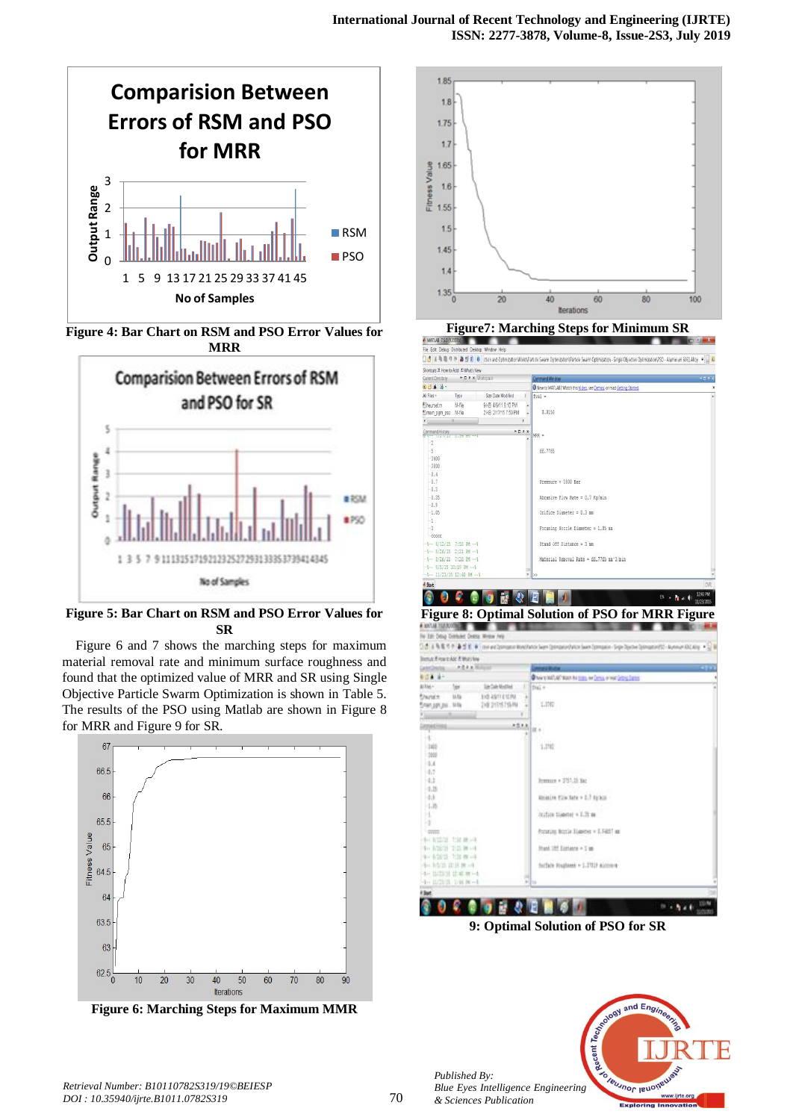

**Figure 4: Bar Chart on RSM and PSO Error Values for MRR**



**Figure 5: Bar Chart on RSM and PSO Error Values for SR**

Figure 6 and 7 shows the marching steps for maximum material removal rate and minimum surface roughness and found that the optimized value of MRR and SR using Single Objective Particle Swarm Optimization is shown in Table 5. The results of the PSO using Matlab are shown in Figure 8 for MRR and Figure 9 for SR.



**Figure 6: Marching Steps for Maximum MMR**





**9: Optimal Solution of PSO for SR**



*Published By:*